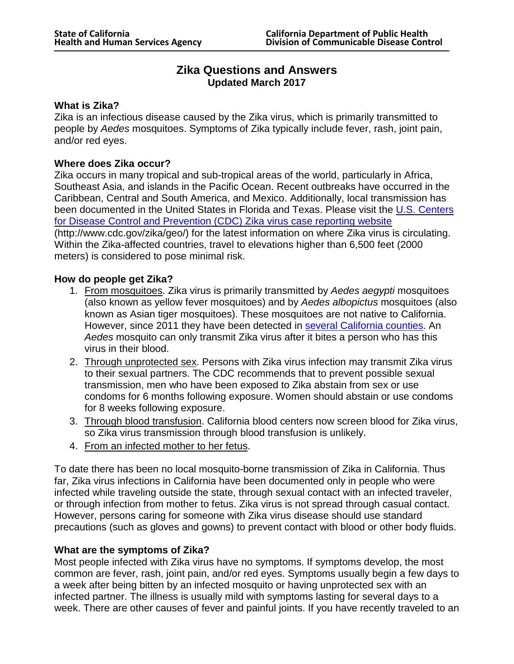# **Zika Questions and Answers Updated March 2017**

#### **What is Zika?**

Zika is an infectious disease caused by the Zika virus, which is primarily transmitted to people by *Aedes* mosquitoes. Symptoms of Zika typically include fever, rash, joint pain, and/or red eyes.

#### **Where does Zika occur?**

Zika occurs in many tropical and sub-tropical areas of the world, particularly in Africa, Southeast Asia, and islands in the Pacific Ocean. Recent outbreaks have occurred in the Caribbean, Central and South America, and Mexico. Additionally, local transmission has been documented in the United States in Florida and Texas. Please visit the U.S. [Centers](http://www.cdc.gov/zika/geo/) for Disease Control and Prevention (CDC) Zika [virus case reporting](http://www.cdc.gov/zika/geo/) website (http://www.cdc.gov/zika/geo/) for the latest information on where Zika virus is circulating. Within the Zika-affected countries, travel to elevations higher than 6,500 feet (2000 meters) is considered to pose minimal risk.

#### **How do people get Zika?**

- 1. From mosquitoes. Zika virus is primarily transmitted by *Aedes aegypti* mosquitoes (also known as yellow fever mosquitoes) and by *Aedes albopictus* mosquitoes (also known as Asian tiger mosquitoes). These mosquitoes are not native to California. However, since 2011 they have been detected in several [California](https://www.cdph.ca.gov/Programs/CID/DCDC/CDPH%20Document%20Library/AedesDistributionMap.pdf) counties. An *Aedes* mosquito can only transmit Zika virus after it bites a person who has this virus in their blood.
- 2. Through unprotected sex. Persons with Zika virus infection may transmit Zika virus to their sexual partners. The CDC recommends that to prevent possible sexual transmission, men who have been exposed to Zika abstain from sex or use condoms for 6 months following exposure. Women should abstain or use condoms for 8 weeks following exposure.
- 3. Through blood transfusion. California blood centers now screen blood for Zika virus, so Zika virus transmission through blood transfusion is unlikely.
- 4. From an infected mother to her fetus .

To date there has been no local mosquito-borne transmission of Zika in California. Thus far, Zika virus infections in California have been documented only in people who were infected while traveling outside the state, through sexual contact with an infected traveler, or through infection from mother to fetus. Zika virus is not spread through casual contact. However, persons caring for someone with Zika virus disease should use standard precautions (such as gloves and gowns) to prevent contact with blood or other body fluids.

#### **What are the symptoms of Zika?**

Most people infected with Zika virus have no symptoms. If symptoms develop, the most common are fever, rash, joint pain, and/or red eyes. Symptoms usually begin a few days to a week after being bitten by an infected mosquito or having unprotected sex with an infected partner. The illness is usually mild with symptoms lasting for several days to a week. There are other causes of fever and painful joints. If you have recently traveled to an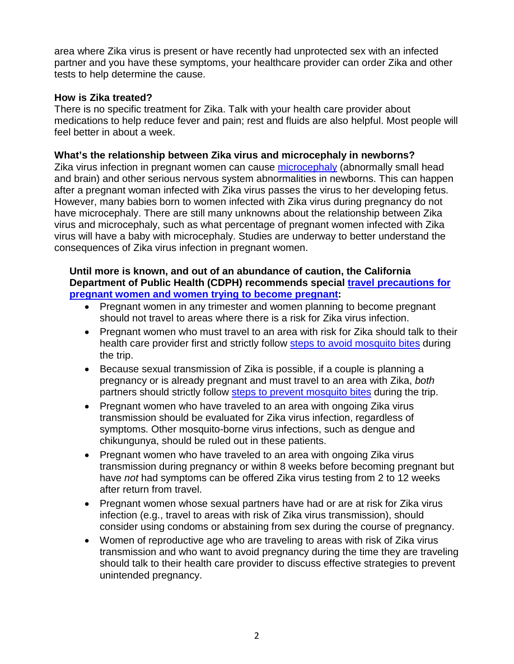area where Zika virus is present or have recently had unprotected sex with an infected partner and you have these symptoms, your healthcare provider can order Zika and other tests to help determine the cause.

#### **How is Zika treated?**

There is no specific treatment for Zika. Talk with your health care provider about medications to help reduce fever and pain; rest and fluids are also helpful. Most people will feel better in about a week.

### **What's the relationship between Zika virus and microcephaly in newborns?**

Zika virus infection in pregnant women can cause [microcephaly](http://www.cdc.gov/ncbddd/birthdefects/microcephaly.html) (abnormally small head and brain) and other serious nervous system abnormalities in newborns. This can happen after a pregnant woman infected with Zika virus passes the virus to her developing fetus. However, many babies born to women infected with Zika virus during pregnancy do not have microcephaly. There are still many unknowns about the relationship between Zika virus and microcephaly, such as what percentage of pregnant women infected with Zika virus will have a baby with microcephaly. Studies are underway to better understand the consequences of Zika virus infection in pregnant women.

#### **Until more is known, and out of an abundance of caution, the California Department of Public Health (CDPH) recommends special travel [precautions](https://wwwnc.cdc.gov/travel/page/world-map-areas-with-zika) for pregnant women and women trying to become [pregnant:](https://wwwnc.cdc.gov/travel/page/world-map-areas-with-zika)**

- Pregnant women in any trimester and women planning to become pregnant should not travel to areas where there is a risk for Zika virus infection.
- Pregnant women who must travel to an area with risk for Zika should talk to their health care provider first and strictly follow **steps to avoid [mosquito](http://www.cdc.gov/zika/prevention/index.html) bites** during the trip.
- Because sexual transmission of Zika is possible, if a couple is planning a pregnancy or is already pregnant and must travel to an area with Zika, *both* partners should strictly follow steps to prevent [mosquito](http://www.cdc.gov/zika/prevention/index.html) bites during the trip.
- Pregnant women who have traveled to an area with ongoing Zika virus transmission should be evaluated for Zika virus infection, regardless of symptoms. Other mosquito-borne virus infections, such as dengue and chikungunya, should be ruled out in these patients.
- Pregnant women who have traveled to an area with ongoing Zika virus transmission during pregnancy or within 8 weeks before becoming pregnant but have *not* had symptoms can be offered Zika virus testing from 2 to 12 weeks after return from travel.
- Pregnant women whose sexual partners have had or are at risk for Zika virus infection (e.g., travel to areas with risk of Zika virus transmission), should consider using condoms or abstaining from sex during the course of pregnancy.
- Women of reproductive age who are traveling to areas with risk of Zika virus transmission and who want to avoid pregnancy during the time they are traveling should talk to their health care provider to discuss effective strategies to prevent unintended pregnancy.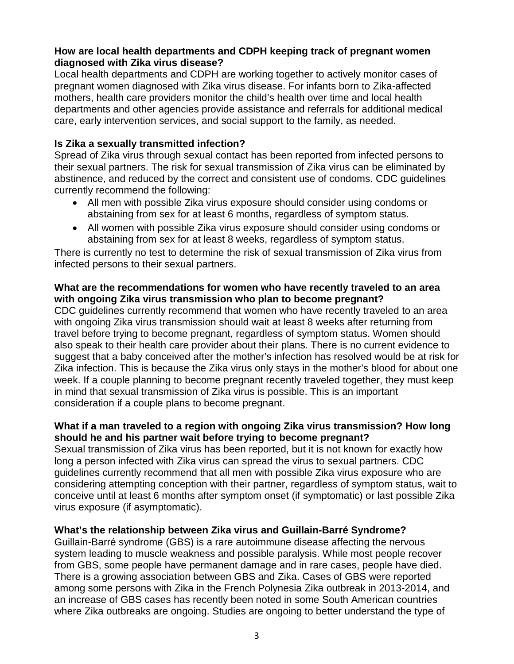### **How are local health departments and CDPH keeping track of pregnant women diagnosed with Zika virus disease?**

Local health departments and CDPH are working together to actively monitor cases of pregnant women diagnosed with Zika virus disease. For infants born to Zika-affected mothers, health care providers monitor the child's health over time and local health departments and other agencies provide assistance and referrals for additional medical care, early intervention services, and social support to the family, as needed.

## **Is Zika a sexually transmitted infection?**

Spread of Zika virus through sexual contact has been reported from infected persons to their sexual partners. The risk for sexual transmission of Zika virus can be eliminated by abstinence, and reduced by the correct and consistent use of condoms. CDC guidelines currently recommend the following:

- All men with possible Zika virus exposure should consider using condoms or abstaining from sex for at least 6 months, regardless of symptom status.
- All women with possible Zika virus exposure should consider using condoms or abstaining from sex for at least 8 weeks, regardless of symptom status.

There is currently no test to determine the risk of sexual transmission of Zika virus from infected persons to their sexual partners.

### **What are the recommendations for women who have recently traveled to an area with ongoing Zika virus transmission who plan to become pregnant?**

CDC guidelines currently recommend that women who have recently traveled to an area with ongoing Zika virus transmission should wait at least 8 weeks after returning from travel before trying to become pregnant, regardless of symptom status. Women should also speak to their health care provider about their plans. There is no current evidence to suggest that a baby conceived after the mother's infection has resolved would be at risk for Zika infection. This is because the Zika virus only stays in the mother's blood for about one week. If a couple planning to become pregnant recently traveled together, they must keep in mind that sexual transmission of Zika virus is possible. This is an important consideration if a couple plans to become pregnant.

## **What if a man traveled to a region with ongoing Zika virus transmission? How long should he and his partner wait before trying to become pregnant?**

Sexual transmission of Zika virus has been reported, but it is not known for exactly how long a person infected with Zika virus can spread the virus to sexual partners. CDC guidelines currently recommend that all men with possible Zika virus exposure who are considering attempting conception with their partner, regardless of symptom status, wait to conceive until at least 6 months after symptom onset (if symptomatic) or last possible Zika virus exposure (if asymptomatic).

### **What's the relationship between Zika virus and Guillain-Barré Syndrome?**

Guillain-Barré syndrome (GBS) is a rare autoimmune disease affecting the nervous system leading to muscle weakness and possible paralysis. While most people recover from GBS, some people have permanent damage and in rare cases, people have died. There is a growing association between GBS and Zika. Cases of GBS were reported among some persons with Zika in the French Polynesia Zika outbreak in 2013-2014, and an increase of GBS cases has recently been noted in some South American countries where Zika outbreaks are ongoing. Studies are ongoing to better understand the type of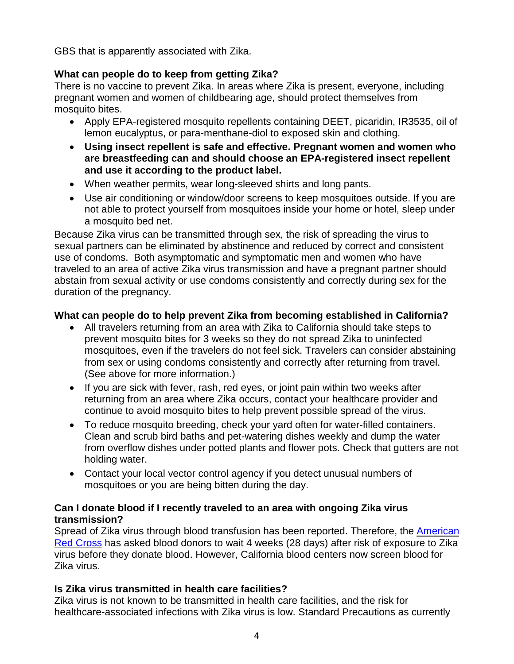GBS that is apparently associated with Zika.

## **What can people do to keep from getting Zika?**

There is no vaccine to prevent Zika. In areas where Zika is present, everyone, including pregnant women and women of childbearing age, should protect themselves from mosquito bites.

- Apply EPA-registered mosquito repellents containing DEET, picaridin, IR3535, oil of lemon eucalyptus, or para-menthane-diol to exposed skin and clothing.
- **Using insect repellent is safe and effective. Pregnant women and women who are breastfeeding can and should choose an EPA-registered insect repellent and use it according to the product label.**
- When weather permits, wear long-sleeved shirts and long pants.
- Use air conditioning or window/door screens to keep mosquitoes outside. If you are not able to protect yourself from mosquitoes inside your home or hotel, sleep under a mosquito bed net.

Because Zika virus can be transmitted through sex, the risk of spreading the virus to sexual partners can be eliminated by abstinence and reduced by correct and consistent use of condoms. Both asymptomatic and symptomatic men and women who have traveled to an area of active Zika virus transmission and have a pregnant partner should abstain from sexual activity or use condoms consistently and correctly during sex for the duration of the pregnancy.

# **What can people do to help prevent Zika from becoming established in California?**

- All travelers returning from an area with Zika to California should take steps to prevent mosquito bites for 3 weeks so they do not spread Zika to uninfected mosquitoes, even if the travelers do not feel sick. Travelers can consider abstaining from sex or using condoms consistently and correctly after returning from travel. (See above for more information.)
- If you are sick with fever, rash, red eyes, or joint pain within two weeks after returning from an area where Zika occurs, contact your healthcare provider and continue to avoid mosquito bites to help prevent possible spread of the virus.
- To reduce mosquito breeding, check your yard often for water-filled containers. Clean and scrub bird baths and pet-watering dishes weekly and dump the water from overflow dishes under potted plants and flower pots. Check that gutters are not holding water.
- Contact your local vector control agency if you detect unusual numbers of mosquitoes or you are being bitten during the day.

## **Can I donate blood if I recently traveled to an area with ongoing Zika virus transmission?**

Spread of Zika virus through blood transfusion has been reported. Therefore, the [American](http://www.redcross.org/news/press-release/Red-Cross-Statement-on-Zika-Virus) Red [Cross](http://www.redcross.org/news/press-release/Red-Cross-Statement-on-Zika-Virus) has asked blood donors to wait 4 weeks (28 days) after risk of exposure to Zika virus before they donate blood. However, California blood centers now screen blood for Zika virus.

## **Is Zika virus transmitted in health care facilities?**

Zika virus is not known to be transmitted in health care facilities, and the risk for healthcare-associated infections with Zika virus is low. Standard Precautions as currently